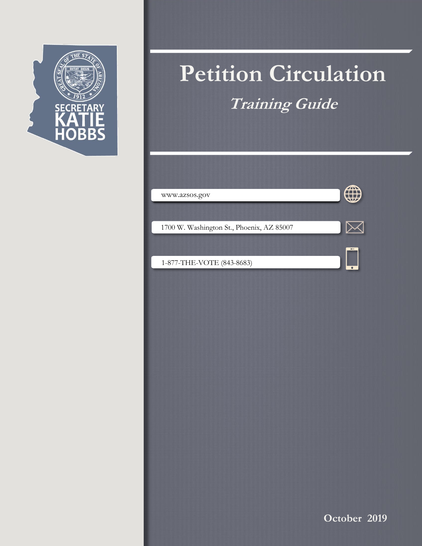

# **Petition Circulation Training Guide**

| www.azsos.gov                             |  |
|-------------------------------------------|--|
| 1700 W. Washington St., Phoenix, AZ 85007 |  |
| 1-877-THE-VOTE (843-8683)                 |  |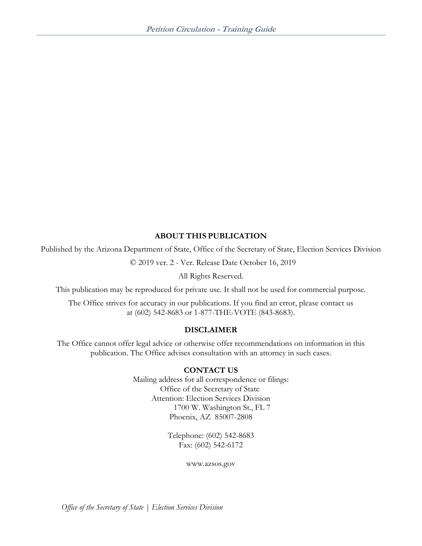#### **ABOUT THIS PUBLICATION**

Published by the Arizona Department of State, Office of the Secretary of State, Election Services Division

© 2019 ver. 2 - Ver. Release Date October 16, 2019

#### All Rights Reserved.

This publication may be reproduced for private use. It shall not be used for commercial purpose.

The Office strives for accuracy in our publications. If you find an error, please contact us at (602) 542-8683 or 1-877-THE-VOTE (843-8683).

#### **DISCLAIMER**

The Office cannot offer legal advice or otherwise offer recommendations on information in this publication. The Office advises consultation with an attorney in such cases.

#### **CONTACT US**

Mailing address for all correspondence or filings: Office of the Secretary of State Attention: Election Services Division 1700 W. Washington St., FL 7 Phoenix, AZ 85007-2808

> Telephone: (602) 542-8683 Fax: (602) 542-6172

> > www.azsos.gov

*Office of the Secretary of State | Election Services Division*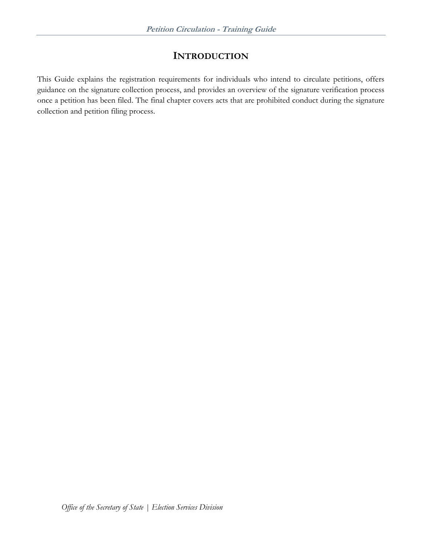## **INTRODUCTION**

This Guide explains the registration requirements for individuals who intend to circulate petitions, offers guidance on the signature collection process, and provides an overview of the signature verification process once a petition has been filed. The final chapter covers acts that are prohibited conduct during the signature collection and petition filing process.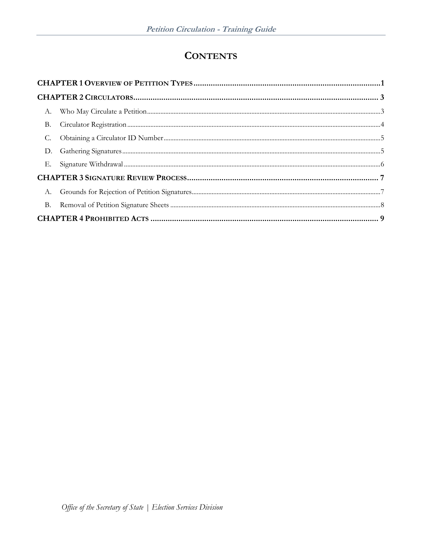## **CONTENTS**

| В. |  |
|----|--|
| C. |  |
|    |  |
|    |  |
|    |  |
|    |  |
|    |  |
|    |  |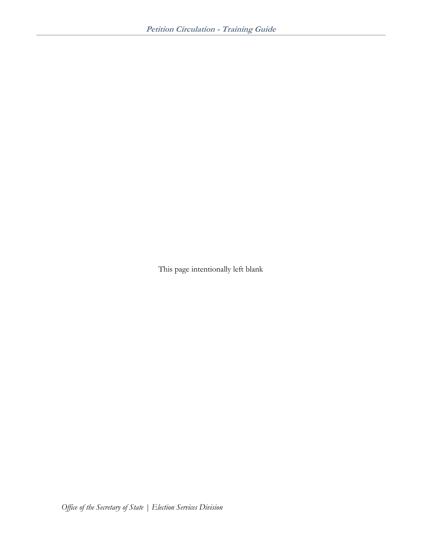This page intentionally left blank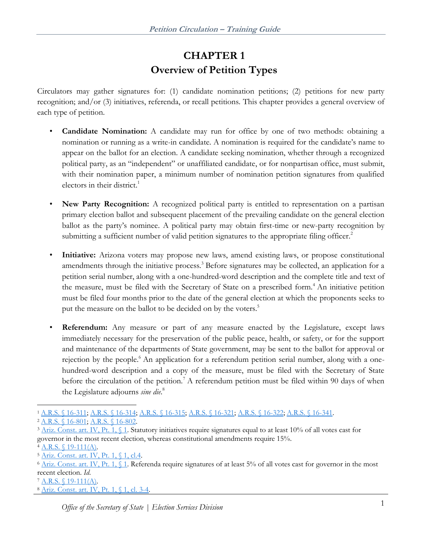# **CHAPTER 1 Overview of Petition Types**

<span id="page-5-0"></span>Circulators may gather signatures for: (1) candidate nomination petitions; (2) petitions for new party recognition; and/or (3) initiatives, referenda, or recall petitions. This chapter provides a general overview of each type of petition.

- **Candidate Nomination:** A candidate may run for office by one of two methods: obtaining a nomination or running as a write-in candidate. A nomination is required for the candidate's name to appear on the ballot for an election. A candidate seeking nomination, whether through a recognized political party, as an "independent" or unaffiliated candidate, or for nonpartisan office, must submit, with their nomination paper, a minimum number of nomination petition signatures from qualified electors in their district. 1
- New Party Recognition: A recognized political party is entitled to representation on a partisan primary election ballot and subsequent placement of the prevailing candidate on the general election ballot as the party's nominee. A political party may obtain first-time or new-party recognition by submitting a sufficient number of valid petition signatures to the appropriate filing officer.<sup>2</sup>
- **Initiative:** Arizona voters may propose new laws, amend existing laws, or propose constitutional amendments through the initiative process.<sup>3</sup> Before signatures may be collected, an application for a petition serial number, along with a one-hundred-word description and the complete title and text of the measure, must be filed with the Secretary of State on a prescribed form.<sup>4</sup> An initiative petition must be filed four months prior to the date of the general election at which the proponents seeks to put the measure on the ballot to be decided on by the voters.<sup>5</sup>
- **Referendum:** Any measure or part of any measure enacted by the Legislature, except laws immediately necessary for the preservation of the public peace, health, or safety, or for the support and maintenance of the departments of State government, may be sent to the ballot for approval or rejection by the people.<sup>6</sup> An application for a referendum petition serial number, along with a onehundred-word description and a copy of the measure, must be filed with the Secretary of State before the circulation of the petition.<sup>7</sup> A referendum petition must be filed within 90 days of when the Legislature adjourns *sine die*. 8

 $\overline{a}$ <sup>1</sup> [A.R.S. § 16-311;](https://www.azleg.gov/ars/16/00311.htm) [A.R.S. § 16-314;](https://www.azleg.gov/ars/16/00314.htm) [A.R.S. § 16-315;](https://www.azleg.gov/ars/16/00315.htm) [A.R.S. § 16-321;](https://www.azleg.gov/ars/16/00321.htm) [A.R.S. § 16-322;](https://www.azleg.gov/ars/16/00322.htm) [A.R.S. § 16-341.](https://www.azleg.gov/ars/16/00341.htm)

<sup>2</sup> [A.R.S. § 16-801;](https://www.azleg.gov/ars/16/00801.htm) [A.R.S. § 16-802.](https://www.azleg.gov/ars/16/00802.htm)

<sup>&</sup>lt;sup>3</sup> Ariz. Const. art. IV, Pt. 1, 1, 1. Statutory initiatives require signatures equal to at least 10% of all votes cast for governor in the most recent election, whereas constitutional amendments require 15%.

 $4$  [A.R.S. § 19-111\(A\).](https://www.azleg.gov/ars/19/00111.htm)

<sup>5</sup> [Ariz. Const. art. IV, Pt. 1, § 1, cl.4.](https://www.azleg.gov/const/4/1.p1.htm)

 $6$  Ariz. Const. art. IV, Pt. 1,  $\&$  1. Referenda require signatures of at least 5% of all votes cast for governor in the most recent election. *Id*.

<sup>7</sup> [A.R.S. § 19-111\(A\).](https://www.azleg.gov/ars/19/00111.htm)

<sup>8</sup> [Ariz. Const. art. IV, Pt. 1, § 1, cl. 3-4.](https://www.azleg.gov/const/4/1.p1.htm)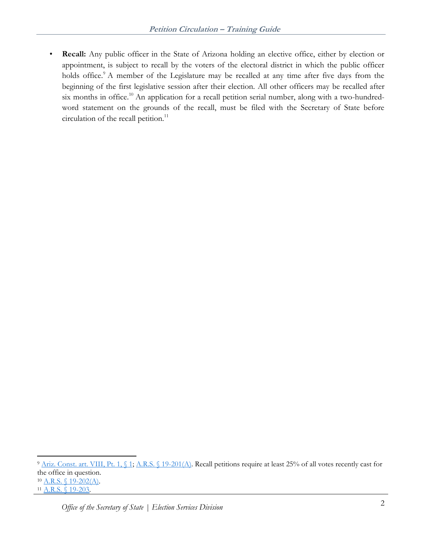**Recall:** Any public officer in the State of Arizona holding an elective office, either by election or appointment, is subject to recall by the voters of the electoral district in which the public officer holds office.<sup>9</sup> A member of the Legislature may be recalled at any time after five days from the beginning of the first legislative session after their election. All other officers may be recalled after six months in office.<sup>10</sup> An application for a recall petition serial number, along with a two-hundredword statement on the grounds of the recall, must be filed with the Secretary of State before circulation of the recall petition.<sup>11</sup>

 $\overline{\phantom{a}}$ 

<sup>9</sup> [Ariz. Const. art. VIII, Pt. 1, § 1;](https://www.azleg.gov/const/8/1.p1.htm) [A.R.S. § 19-201\(A\).](https://www.azleg.gov/ars/19/00201.htm) Recall petitions require at least 25% of all votes recently cast for the office in question. 10 [A.R.S. § 19-202\(A\).](https://www.azleg.gov/ars/19/00202.htm)

<sup>11</sup> A.R.S. [§ 19-203.](https://www.azleg.gov/ars/19/00203.htm)

*Office of the Secretary of State | Election Services Division* <sup>2</sup>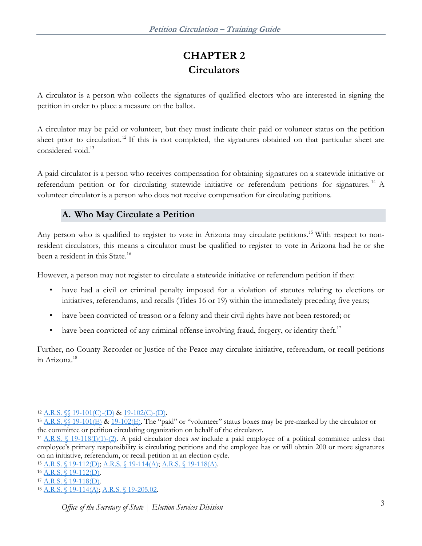# **CHAPTER 2 Circulators**

<span id="page-7-0"></span>A circulator is a person who collects the signatures of qualified electors who are interested in signing the petition in order to place a measure on the ballot.

A circulator may be paid or volunteer, but they must indicate their paid or voluneer status on the petition sheet prior to circulation.<sup>12</sup> If this is not completed, the signatures obtained on that particular sheet are considered void.<sup>13</sup>

A paid circulator is a person who receives compensation for obtaining signatures on a statewide initiative or referendum petition or for circulating statewide initiative or referendum petitions for signatures. <sup>14</sup> A volunteer circulator is a person who does not receive compensation for circulating petitions.

## <span id="page-7-1"></span>**A. Who May Circulate a Petition**

Any person who is qualified to register to vote in Arizona may circulate petitions.<sup>15</sup> With respect to nonresident circulators, this means a circulator must be qualified to register to vote in Arizona had he or she been a resident in this State.<sup>16</sup>

However, a person may not register to circulate a statewide initiative or referendum petition if they:

- have had a civil or criminal penalty imposed for a violation of statutes relating to elections or initiatives, referendums, and recalls (Titles 16 or 19) within the immediately preceding five years;
- have been convicted of treason or a felony and their civil rights have not been restored; or
- have been convicted of any criminal offense involving fraud, forgery, or identity theft.<sup>17</sup>

Further, no County Recorder or Justice of the Peace may circulate initiative, referendum, or recall petitions in Arizona.<sup>18</sup>

 $\overline{a}$ <sup>12</sup> [A.R.S. §§ 19-101\(C\)-\(D\)](https://www.azleg.gov/ars/19/00101.htm) & [19-102\(C\)-\(D\).](https://www.azleg.gov/ars/19/00102.htm)

<sup>13</sup> A.R.S.  $\mathcal{S}$  19-101(E) & [19-102\(E\).](https://www.azleg.gov/ars/19/00102.htm) The "paid" or "volunteer" status boxes may be pre-marked by the circulator or the committee or petition circulating organization on behalf of the circulator.

<sup>14</sup> [A.R.S. § 19-118\(I\)\(1\)-\(2\).](https://www.azleg.gov/ars/19/00118.htm) A paid circulator does *not* include a paid employee of a political committee unless that employee's primary responsibility is circulating petitions and the employee has or will obtain 200 or more signatures on an initiative, referendum, or recall petition in an election cycle.

<sup>15</sup> [A.R.S. § 19-112\(D\);](https://www.azleg.gov/ars/19/00112.htm) [A.R.S. § 19-114\(A\);](https://www.azleg.gov/ars/19/00114.htm) [A.R.S. § 19-118\(A\).](https://www.azleg.gov/ars/19/00118.htm)

<sup>16</sup> [A.R.S. § 19-112\(D\).](https://www.azleg.gov/ars/19/00112.htm)

<sup>17</sup> [A.R.S. § 19-118\(D\).](https://www.azleg.gov/ars/19/00118.htm)

<sup>18</sup> [A.R.S. § 19-114\(A\);](https://www.azleg.gov/ars/19/00114.htm) [A.R.S. § 19-205.02.](https://www.azleg.gov/ars/19/00205-02.htm)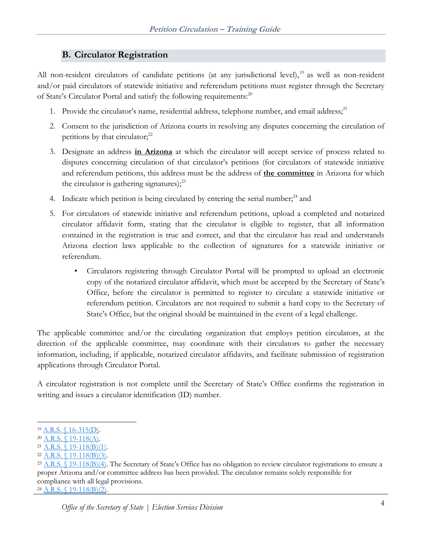### **B. Circulator Registration**

<span id="page-8-0"></span>All non-resident circulators of candidate petitions (at any jurisdictional level),<sup>19</sup> as well as non-resident and/or paid circulators of statewide initiative and referendum petitions must register through the Secretary of State's Circulator Portal and satisfy the following requirements:<sup>20</sup>

- 1. Provide the circulator's name, residential address, telephone number, and email address;<sup>21</sup>
- 2. Consent to the jurisdiction of Arizona courts in resolving any disputes concerning the circulation of petitions by that circulator;<sup>22</sup>
- 3. Designate an address **in Arizona** at which the circulator will accept service of process related to disputes concerning circulation of that circulator's petitions (for circulators of statewide initiative and referendum petitions, this address must be the address of **the committee** in Arizona for which the circulator is gathering signatures);<sup>23</sup>
- 4. Indicate which petition is being circulated by entering the serial number; $^{24}$  and
- 5. For circulators of statewide initiative and referendum petitions, upload a completed and notarized circulator affidavit form, stating that the circulator is eligible to register, that all information contained in the registration is true and correct, and that the circulator has read and understands Arizona election laws applicable to the collection of signatures for a statewide initiative or referendum.
	- Circulators registering through Circulator Portal will be prompted to upload an electronic copy of the notarized circulator affidavit, which must be accepted by the Secretary of State's Office, before the circulator is permitted to register to circulate a statewide initiative or referendum petition. Circulators are not required to submit a hard copy to the Secretary of State's Office, but the original should be maintained in the event of a legal challenge.

The applicable committee and/or the circulating organization that employs petition circulators, at the direction of the applicable committee, may coordinate with their circulators to gather the necessary information, including, if applicable, notarized circulator affidavits, and facilitate submission of registration applications through Circulator Portal.

A circulator registration is not complete until the Secretary of State's Office confirms the registration in writing and issues a circulator identification (ID) number.

 $\overline{a}$ 

<sup>19</sup> [A.R.S. § 16-315\(D\).](https://www.azleg.gov/ars/16/00315.htm)

<sup>20</sup> [A.R.S. § 19-118\(A\).](https://www.azleg.gov/ars/19/00118.htm)

 $21$  [A.R.S. § 19-118\(B\)\(1\).](https://www.azleg.gov/ars/19/00118.htm)

 $22$  [A.R.S. § 19-118\(B\)\(3\).](https://www.azleg.gov/ars/19/00118.htm)

 $23$  A.R.S.  $$19-118(B)(4)$ . The Secretary of State's Office has no obligation to review circulator registrations to ensure a proper Arizona and/or committee address has been provided. The circulator remains solely responsible for compliance with all legal provisions.

<sup>24</sup> [A.R.S. § 19-118\(B\)\(2\).](https://www.azleg.gov/ars/19/00118.htm)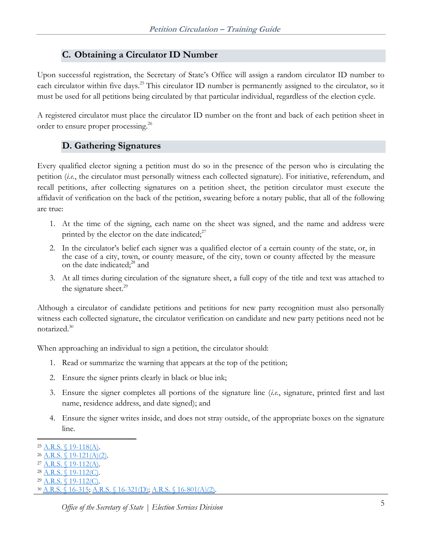#### **C. Obtaining a Circulator ID Number**

<span id="page-9-0"></span>Upon successful registration, the Secretary of State's Office will assign a random circulator ID number to each circulator within five days.<sup>25</sup> This circulator ID number is permanently assigned to the circulator, so it must be used for all petitions being circulated by that particular individual, regardless of the election cycle.

<span id="page-9-1"></span>A registered circulator must place the circulator ID number on the front and back of each petition sheet in order to ensure proper processing.<sup>26</sup>

## **D. Gathering Signatures**

Every qualified elector signing a petition must do so in the presence of the person who is circulating the petition (*i.e.*, the circulator must personally witness each collected signature). For initiative, referendum, and recall petitions, after collecting signatures on a petition sheet, the petition circulator must execute the affidavit of verification on the back of the petition, swearing before a notary public, that all of the following are true:

- 1. At the time of the signing, each name on the sheet was signed, and the name and address were printed by the elector on the date indicated; $^{27}$
- 2. In the circulator's belief each signer was a qualified elector of a certain county of the state, or, in the case of a city, town, or county measure, of the city, town or county affected by the measure on the date indicated;<sup>28</sup> and
- 3. At all times during circulation of the signature sheet, a full copy of the title and text was attached to the signature sheet.<sup>29</sup>

Although a circulator of candidate petitions and petitions for new party recognition must also personally witness each collected signature, the circulator verification on candidate and new party petitions need not be notarized.<sup>30</sup>

When approaching an individual to sign a petition, the circulator should:

- 1. Read or summarize the warning that appears at the top of the petition;
- 2. Ensure the signer prints clearly in black or blue ink;
- 3. Ensure the signer completes all portions of the signature line (*i.e.*, signature, printed first and last name, residence address, and date signed); and
- 4. Ensure the signer writes inside, and does not stray outside, of the appropriate boxes on the signature line.

 $\overline{\phantom{a}}$ <sup>25</sup> [A.R.S. § 19-118\(A\).](https://www.azleg.gov/ars/19/00118.htm)

<sup>26</sup> [A.R.S. § 19-121\(A\)\(2\).](https://www.azleg.gov/ars/19/00121.htm)

<sup>27</sup> [A.R.S. § 19-112\(A\).](https://www.azleg.gov/ars/19/00112.htm)

<sup>28</sup> [A.R.S. § 19-112\(C\).](https://www.azleg.gov/ars/19/00112.htm)

<sup>29</sup> [A.R.S. § 19-112\(C\).](https://www.azleg.gov/ars/19/00112.htm)

<sup>30</sup> [A.R.S. § 16-315;](https://www.azleg.gov/ars/16/00315.htm) [A.R.S. § 16-321\(D\);](https://www.azleg.gov/ars/16/00321.htm) [A.R.S. § 16-801\(A\)\(2\).](https://www.azleg.gov/ars/16/00801.htm)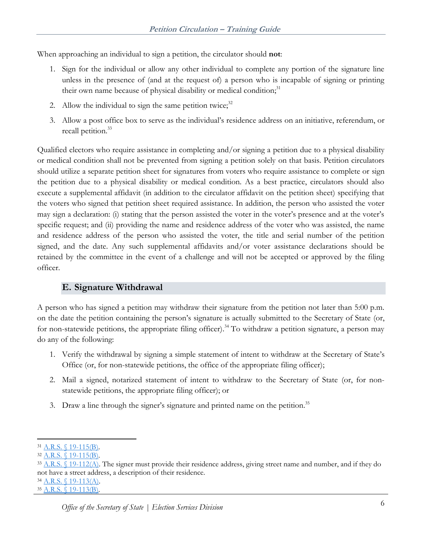When approaching an individual to sign a petition, the circulator should **not**:

- 1. Sign for the individual or allow any other individual to complete any portion of the signature line unless in the presence of (and at the request of) a person who is incapable of signing or printing their own name because of physical disability or medical condition;<sup>31</sup>
- 2. Allow the individual to sign the same petition twice; $3<sup>2</sup>$
- 3. Allow a post office box to serve as the individual's residence address on an initiative, referendum, or recall petition. 33

Qualified electors who require assistance in completing and/or signing a petition due to a physical disability or medical condition shall not be prevented from signing a petition solely on that basis. Petition circulators should utilize a separate petition sheet for signatures from voters who require assistance to complete or sign the petition due to a physical disability or medical condition. As a best practice, circulators should also execute a supplemental affidavit (in addition to the circulator affidavit on the petition sheet) specifying that the voters who signed that petition sheet required assistance. In addition, the person who assisted the voter may sign a declaration: (i) stating that the person assisted the voter in the voter's presence and at the voter's specific request; and (ii) providing the name and residence address of the voter who was assisted, the name and residence address of the person who assisted the voter, the title and serial number of the petition signed, and the date. Any such supplemental affidavits and/or voter assistance declarations should be retained by the committee in the event of a challenge and will not be accepted or approved by the filing officer.

#### <span id="page-10-0"></span>**E. Signature Withdrawal**

A person who has signed a petition may withdraw their signature from the petition not later than 5:00 p.m. on the date the petition containing the person's signature is actually submitted to the Secretary of State (or, for non-statewide petitions, the appropriate filing officer).<sup>34</sup> To withdraw a petition signature, a person may do any of the following:

- 1. Verify the withdrawal by signing a simple statement of intent to withdraw at the Secretary of State's Office (or, for non-statewide petitions, the office of the appropriate filing officer);
- 2. Mail a signed, notarized statement of intent to withdraw to the Secretary of State (or, for nonstatewide petitions, the appropriate filing officer); or
- 3. Draw a line through the signer's signature and printed name on the petition.<sup>35</sup>

 $\overline{\phantom{a}}$ <sup>31</sup> [A.R.S. § 19-115\(B\).](https://www.azleg.gov/ars/19/00115.htm)

<sup>32</sup> [A.R.S. § 19-115\(B\).](https://www.azleg.gov/ars/19/00115.htm)

 $33$  [A.R.S. § 19-112\(A\).](https://www.azleg.gov/ars/19/00112.htm) The signer must provide their residence address, giving street name and number, and if they do not have a street address, a description of their residence.

<sup>34</sup> [A.R.S. § 19-113\(A\).](https://www.azleg.gov/ars/19/00113.htm)

<sup>35</sup> [A.R.S. § 19-113\(B\).](https://www.azleg.gov/ars/19/00113.htm)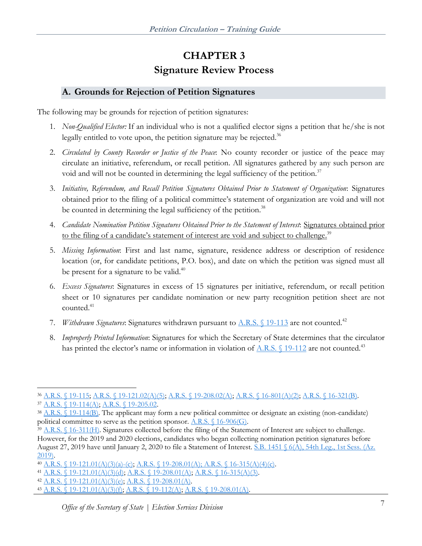# **CHAPTER 3 Signature Review Process**

#### <span id="page-11-1"></span><span id="page-11-0"></span>**A. Grounds for Rejection of Petition Signatures**

The following may be grounds for rejection of petition signatures:

- 1. *Non-Qualified Elector:* If an individual who is not a qualified elector signs a petition that he/she is not legally entitled to vote upon, the petition signature may be rejected.<sup>36</sup>
- 2. *Circulated by County Recorder or Justice of the Peace*: No county recorder or justice of the peace may circulate an initiative, referendum, or recall petition. All signatures gathered by any such person are void and will not be counted in determining the legal sufficiency of the petition.<sup>37</sup>
- 3. *Initiative, Referendum, and Recall Petition Signatures Obtained Prior to Statement of Organization*: Signatures obtained prior to the filing of a political committee's statement of organization are void and will not be counted in determining the legal sufficiency of the petition.<sup>38</sup>
- 4. *Candidate Nomination Petition Signatures Obtained Prior to the Statement of Interest*: Signatures obtained prior to the filing of a candidate's statement of interest are void and subject to challenge.<sup>39</sup>
- 5. *Missing Information*: First and last name, signature, residence address or description of residence location (or, for candidate petitions, P.O. box), and date on which the petition was signed must all be present for a signature to be valid.<sup>40</sup>
- 6. *Excess Signatures*: Signatures in excess of 15 signatures per initiative, referendum, or recall petition sheet or 10 signatures per candidate nomination or new party recognition petition sheet are not counted.<sup>41</sup>
- 7. *Withdrawn Signatures*: Signatures withdrawn pursuant to **A.R.S.** § 19-113 are not counted.<sup>42</sup>
- 8. *Improperly Printed Information*: Signatures for which the Secretary of State determines that the circulator has printed the elector's name or information in violation of A.R.S.  $\frac{6}{19-112}$  are not counted.<sup>43</sup>

<sup>37</sup> [A.R.S. § 19-114\(A\);](https://www.azleg.gov/ars/19/00114.htm) [A.R.S. § 19-205.02.](https://www.azleg.gov/ars/19/00205-02.htm)

 $\overline{\phantom{a}}$ 

<sup>36</sup> [A.R.S. § 19-115;](https://www.azleg.gov/ars/19/00115.htm) [A.R.S. § 19-121.02\(A\)\(5\);](https://www.azleg.gov/ars/19/00121-02.htm) [A.R.S. § 19-208.02\(A\);](https://www.azleg.gov/ars/19/00208-02.htm) [A.R.S. § 16-801\(A\)\(2\);](https://www.azleg.gov/ars/16/00801.htm) [A.R.S. § 16-321\(B\).](https://www.azleg.gov/ars/16/00321.htm)

 $38$  [A.R.S. § 19-114\(B\).](https://www.azleg.gov/ars/19/00114.htm) The applicant may form a new political committee or designate an existing (non-candidate) political committee to serve as the petition sponsor. [A.R.S. § 16-906\(G\).](https://www.azleg.gov/ars/16/00906.htm)

 $39$  [A.R.S. § 16-311\(H\).](https://www.azleg.gov/ars/16/00311.htm) Signatures collected before the filing of the Statement of Interest are subject to challenge. However, for the 2019 and 2020 elections, candidates who began collecting nomination petition signatures before August 27, 2019 have until January 2, 2020 to file a Statement of Interest. S.B. 1451 § 6(A), 54th Leg., 1st Sess. (Az. [2019\).](https://www.azleg.gov/legtext/54leg/1R/bills/SB1451C.pdf)

<sup>40</sup> [A.R.S. § 19-121.01\(A\)\(3\)\(a\)-\(c\);](https://www.azleg.gov/ars/19/00121-01.htm) [A.R.S. § 19-208.01\(A\);](https://www.azleg.gov/ars/19/00208-01.htm) [A.R.S. § 16-315\(A\)\(4\)\(c\).](https://www.azleg.gov/ars/16/00315.htm)

<sup>41</sup> [A.R.S. § 19-121.01\(A\)\(3\)\(d\);](https://www.azleg.gov/ars/19/00121-01.htm) [A.R.S. § 19-208.01\(A\);](https://www.azleg.gov/ars/19/00208-01.htm) [A.R.S. § 16-315\(A\)\(3\).](https://www.azleg.gov/ars/16/00315.htm)

<sup>42</sup> [A.R.S. § 19-121.01\(A\)\(3\)\(e\);](https://www.azleg.gov/ars/19/00121-01.htm) [A.R.S. § 19-208.01\(A\).](https://www.azleg.gov/ars/19/00208-01.htm)

<sup>43</sup> [A.R.S. § 19-121.01\(A\)\(3\)\(f\);](https://www.azleg.gov/ars/19/00121-01.htm) [A.R.S. § 19-112\(A\);](https://www.azleg.gov/ars/19/00112.htm) [A.R.S. § 19-208.01\(A\).](https://www.azleg.gov/ars/19/00208-01.htm)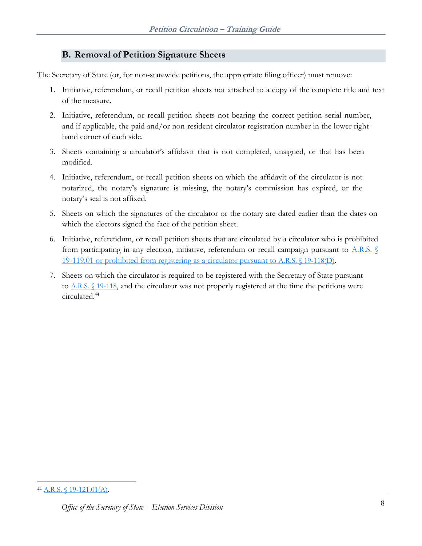### **B. Removal of Petition Signature Sheets**

<span id="page-12-0"></span>The Secretary of State (or, for non-statewide petitions, the appropriate filing officer) must remove:

- 1. Initiative, referendum, or recall petition sheets not attached to a copy of the complete title and text of the measure.
- 2. Initiative, referendum, or recall petition sheets not bearing the correct petition serial number, and if applicable, the paid and/or non-resident circulator registration number in the lower righthand corner of each side.
- 3. Sheets containing a circulator's affidavit that is not completed, unsigned, or that has been modified.
- 4. Initiative, referendum, or recall petition sheets on which the affidavit of the circulator is not notarized, the notary's signature is missing, the notary's commission has expired, or the notary's seal is not affixed.
- 5. Sheets on which the signatures of the circulator or the notary are dated earlier than the dates on which the electors signed the face of the petition sheet.
- 6. Initiative, referendum, or recall petition sheets that are circulated by a circulator who is prohibited from participating in any election, initiative, referendum or recall campaign pursuant to A.R.S. § [19-119.01](https://www.azleg.gov/ars/19/00119-01.htm) or prohibited from registering as a circulator pursuant to [A.R.S. § 19-118\(D\)](https://www.azleg.gov/ars/19/00118.htm).
- 7. Sheets on which the circulator is required to be registered with the Secretary of State pursuant to [A.R.S. § 19-118](https://www.azleg.gov/ars/19/00118.htm), and the circulator was not properly registered at the time the petitions were circulated.<sup>44</sup>

 $\overline{a}$ 

<sup>44</sup> [A.R.S. § 19-121.01\(A\).](https://www.azleg.gov/ars/19/00121-01.htm)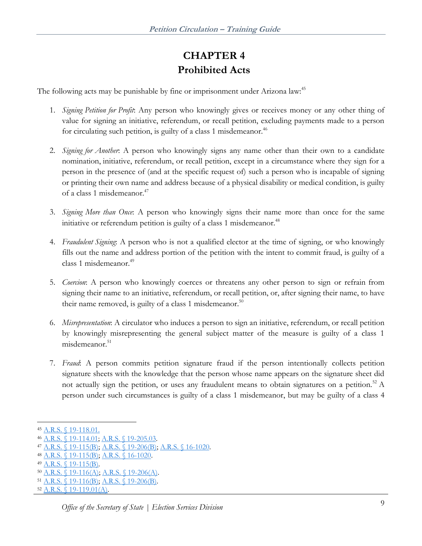# **CHAPTER 4 Prohibited Acts**

<span id="page-13-0"></span>The following acts may be punishable by fine or imprisonment under Arizona law:<sup>45</sup>

- 1. *Signing Petition for Profit*: Any person who knowingly gives or receives money or any other thing of value for signing an initiative, referendum, or recall petition, excluding payments made to a person for circulating such petition, is guilty of a class 1 misdemeanor.<sup>46</sup>
- 2. *Signing for Another*: A person who knowingly signs any name other than their own to a candidate nomination, initiative, referendum, or recall petition, except in a circumstance where they sign for a person in the presence of (and at the specific request of) such a person who is incapable of signing or printing their own name and address because of a physical disability or medical condition, is guilty of a class 1 misdemeanor.<sup>47</sup>
- 3. *Signing More than Once*: A person who knowingly signs their name more than once for the same initiative or referendum petition is guilty of a class 1 misdemeanor.<sup>48</sup>
- 4. *Fraudulent Signing*: A person who is not a qualified elector at the time of signing, or who knowingly fills out the name and address portion of the petition with the intent to commit fraud, is guilty of a class 1 misdemeanor.<sup>49</sup>
- 5. *Coercion*: A person who knowingly coerces or threatens any other person to sign or refrain from signing their name to an initiative, referendum, or recall petition, or, after signing their name, to have their name removed, is guilty of a class 1 misdemeanor.<sup>50</sup>
- 6. *Misrepresentation*: A circulator who induces a person to sign an initiative, referendum, or recall petition by knowingly misrepresenting the general subject matter of the measure is guilty of a class 1 misdemeanor.<sup>51</sup>
- 7. *Fraud*: A person commits petition signature fraud if the person intentionally collects petition signature sheets with the knowledge that the person whose name appears on the signature sheet did not actually sign the petition, or uses any fraudulent means to obtain signatures on a petition.<sup>52</sup> A person under such circumstances is guilty of a class 1 misdemeanor, but may be guilty of a class 4

 $\overline{a}$ <sup>45</sup> A.R.S. § [19-118.01.](https://www.azleg.gov/ars/19/00118-01.htm)

<sup>46</sup> [A.R.S. § 19-114.01;](https://www.azleg.gov/ars/19/00114-01.htm) [A.R.S. § 19-205.03.](https://www.azleg.gov/ars/19/00205-03.htm)

<sup>47</sup> [A.R.S. § 19-115\(B\);](https://www.azleg.gov/ars/19/00115.htm) [A.R.S. § 19-206\(B\);](https://www.azleg.gov/ars/19/00206.htm) [A.R.S. § 16-1020.](https://www.azleg.gov/ars/16/01020.htm)

<sup>48</sup> [A.R.S. § 19-115\(B\);](https://www.azleg.gov/ars/19/00115.htm) [A.R.S. § 16-1020.](https://www.azleg.gov/ars/16/01020.htm)

<sup>49</sup> [A.R.S. § 19-115\(B\).](https://www.azleg.gov/ars/19/00115.htm)

<sup>50</sup> [A.R.S. § 19-116\(A\);](https://www.azleg.gov/ars/19/00116.htm) [A.R.S. § 19-206\(A\).](https://www.azleg.gov/ars/19/00206.htm)

<sup>51</sup> [A.R.S. § 19-116\(B\);](https://www.azleg.gov/ars/19/00116.htm) [A.R.S. § 19-206\(B\).](https://www.azleg.gov/ars/19/00206.htm)

<sup>52</sup> [A.R.S. § 19-119.01\(A\).](https://www.azleg.gov/ars/19/00119-01.htm)